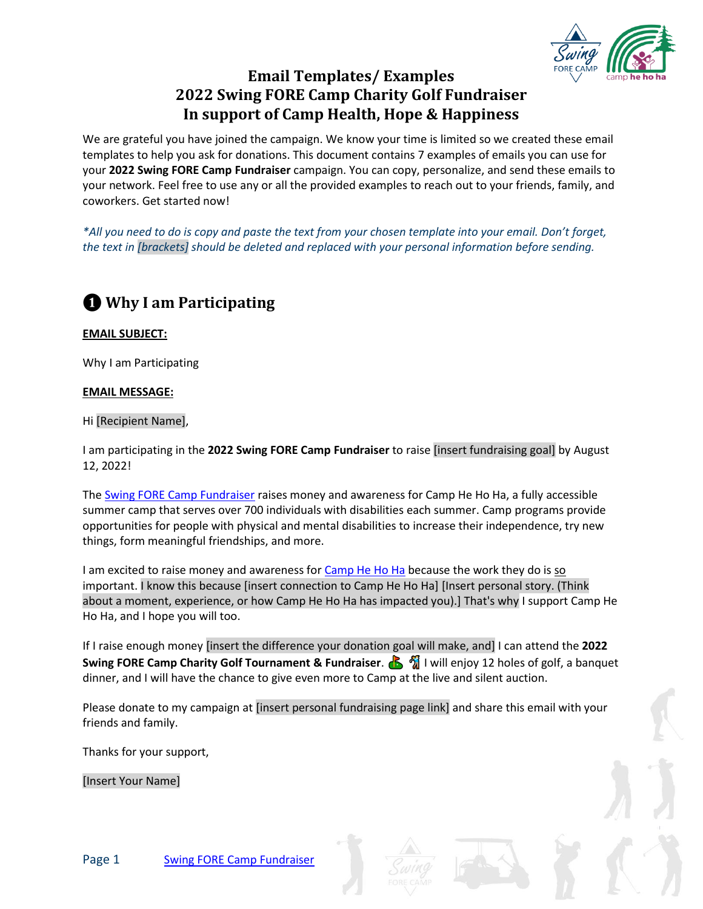

## **Email Templates/ Examples 2022 Swing FORE Camp Charity Golf Fundraiser In support of Camp Health, Hope & Happiness**

We are grateful you have joined the campaign. We know your time is limited so we created these email templates to help you ask for donations. This document contains 7 examples of emails you can use for your **2022 Swing FORE Camp Fundraiser** campaign. You can copy, personalize, and send these emails to 2022 Swing FORE Camp Fundraiser .<br>your network. Feel free to use any or all the provided examples to reach out to your friends, family, and coworkers. Get started now!

*\*All you need to do is copy and paste the text from your chosen template into your email. Don't forget, the text in [brackets] should be deleted and replaced with your personal information before sending.*

## **❶ Why I am Participating**

**EMAIL SUBJECT:**

Why I am Participating

### **EMAIL MESSAGE:**

Hi [Recipient Name],

I am participating in the **2022 Swing FORE Camp Fundraiser** to raise [insert fundraising goal] by August 12, 2022!

The **Swing FORE Camp Fundraiser** raises money and awareness for Camp He Ho Ha, a fully accessible summer camp that serves over 700 individuals with disabilities each summer. Camp programs provide opportunities for people with physical and mental disabilities to increase their independence, try new things, form meaningful friendships, and more.

I am excited to raise money and awareness fo[r Camp He Ho Ha](https://camphehoha.com/) because the work they do is so important. I know this because [insert connection to Camp He Ho Ha] [Insert personal story. (Think about a moment, experience, or how Camp He Ho Ha has impacted you).] That's why I support Camp He Ho Ha, and I hope you will too.

If I raise enough money [insert the difference your donation goal will make, and] I can attend the **2022 Swing FORE Camp Charity Golf Tournament & Fundraiser. <b>B** 1 will enjoy 12 holes of golf, a banquet dinner, and I will have the chance to give even more to Camp at the live and silent auction.

Please donate to my campaign at [insert personal fundraising page link] and share this email with your friends and family.

Thanks for your support,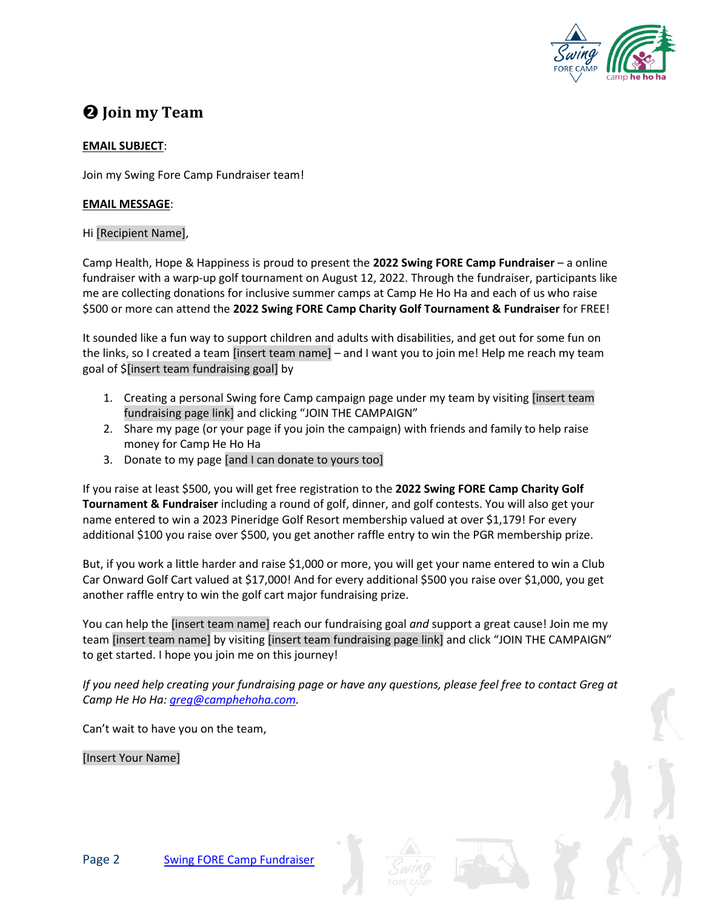

## **❷ Join my Team**

### **EMAIL SUBJECT**:

Join my Swing Fore Camp Fundraiser team!

#### **EMAIL MESSAGE**:

### Hi [Recipient Name],

Camp Health, Hope & Happiness is proud to present the **2022 Swing FORE Camp Fundraiser** – a online fundraiser with a warp-up golf tournament on August 12, 2022. Through the fundraiser, participants like me are collecting donations for inclusive summer camps at Camp He Ho Ha and each of us who raise \$500 or more can attend the **2022 Swing FORE Camp Charity Golf Tournament & Fundraiser** for FREE!

It sounded like a fun way to support children and adults with disabilities, and get out for some fun on the links, so I created a team [insert team name] – and I want you to join me! Help me reach my team goal of \$[insert team fundraising goal] by

- 1. Creating a personal Swing fore Camp campaign page under my team by visiting [insert team fundraising page link] and clicking "JOIN THE CAMPAIGN"
- 2. Share my page (or your page if you join the campaign) with friends and family to help raise money for Camp He Ho Ha
- 3. Donate to my page [and I can donate to yours too]

If you raise at least \$500, you will get free registration to the **2022 Swing FORE Camp Charity Golf Tournament & Fundraiser** including a round of golf, dinner, and golf contests. You will also get your name entered to win a 2023 Pineridge Golf Resort membership valued at over \$1,179! For every additional \$100 you raise over \$500, you get another raffle entry to win the PGR membership prize.

But, if you work a little harder and raise \$1,000 or more, you will get your name entered to win a Club Car Onward Golf Cart valued at \$17,000! And for every additional \$500 you raise over \$1,000, you get another raffle entry to win the golf cart major fundraising prize.

You can help the [insert team name] reach our fundraising goal *and* support a great cause! Join me my team [insert team name] by visiting [insert team fundraising page link] and click "JOIN THE CAMPAIGN" to get started. I hope you join me on this journey!

*If you need help creating your fundraising page or have any questions, please feel free to contact Greg at Camp He Ho Ha: [greg@camphehoha.com.](mailto:greg@camphehoha.com)* 

Can't wait to have you on the team,



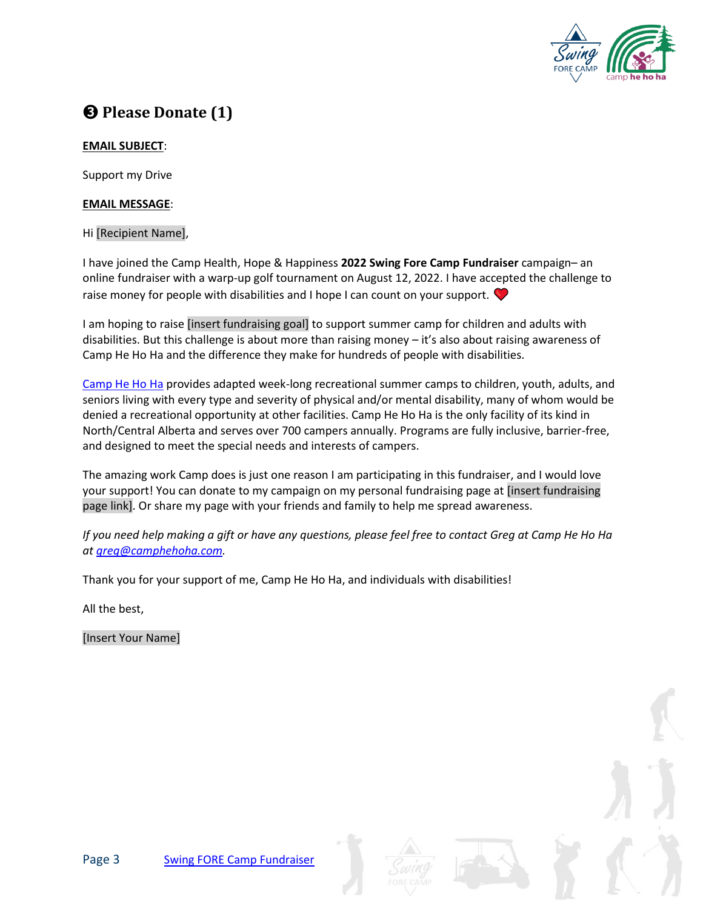

## **❸ Please Donate (1)**

## **EMAIL SUBJECT**:

Support my Drive

#### **EMAIL MESSAGE**:

#### Hi [Recipient Name],

I have joined the Camp Health, Hope & Happiness **2022 Swing Fore Camp Fundraiser** campaign– an online fundraiser with a warp-up golf tournament on August 12, 2022. I have accepted the challenge to raise money for people with disabilities and I hope I can count on your support.  $\blacktriangledown$ 

I am hoping to raise [insert fundraising goal] to support summer camp for children and adults with disabilities. But this challenge is about more than raising money – it's also about raising awareness of Camp He Ho Ha and the difference they make for hundreds of people with disabilities.

[Camp He Ho Ha](https://camphehoha.com/) provides adapted week-long recreational summer camps to children, youth, adults, and seniors living with every type and severity of physical and/or mental disability, many of whom would be denied a recreational opportunity at other facilities. Camp He Ho Ha is the only facility of its kind in North/Central Alberta and serves over 700 campers annually. Programs are fully inclusive, barrier-free, and designed to meet the special needs and interests of campers.

The amazing work Camp does is just one reason I am participating in this fundraiser, and I would love your support! You can donate to my campaign on my personal fundraising page at [insert fundraising page link]. Or share my page with your friends and family to help me spread awareness.

*If you need help making a gift or have any questions, please feel free to contact Greg at Camp He Ho Ha at [greg@camphehoha.com.](mailto:greg@camphehoha.com)* 

Thank you for your support of me, Camp He Ho Ha, and individuals with disabilities!

All the best,



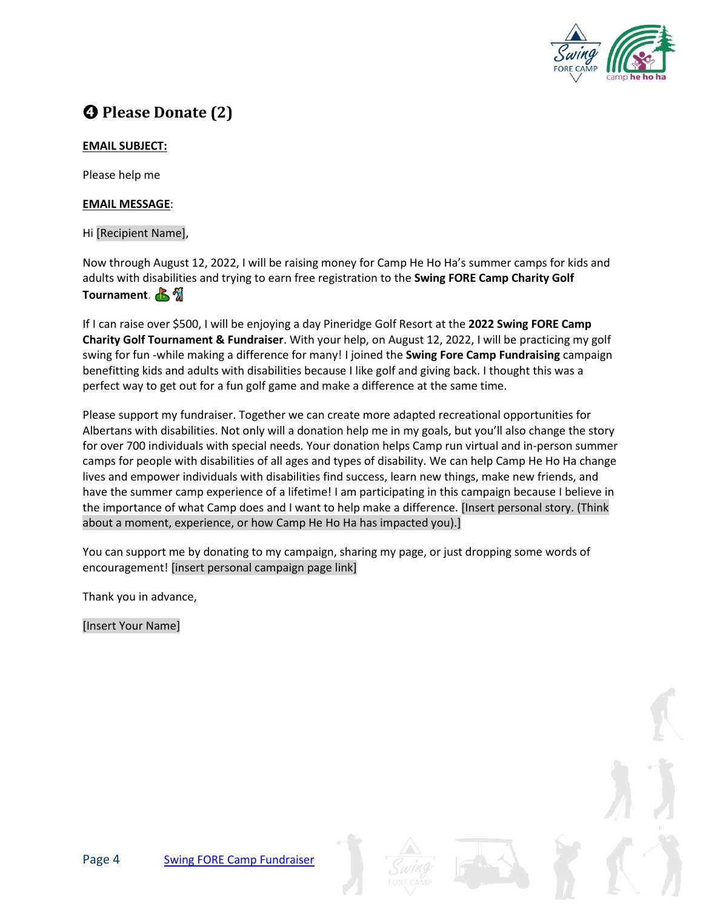

# **❹ Please Donate (2)**

### **EMAIL SUBJECT:**

Please help me

#### **EMAIL MESSAGE**:

#### Hi [Recipient Name],

Now through August 12, 2022, I will be raising money for Camp He Ho Ha's summer camps for kids and adults with disabilities and trying to earn free registration to the **Swing FORE Camp Charity Golf Tournament. B** 

If I can raise over \$500, I will be enjoying a day Pineridge Golf Resort at the **2022 Swing FORE Camp Charity Golf Tournament & Fundraiser**. With your help, on August 12, 2022, I will be practicing my golf swing for fun -while making a difference for many! I joined the **Swing Fore Camp Fundraising** campaign benefitting kids and adults with disabilities because I like golf and giving back. I thought this was a perfect way to get out for a fun golf game and make a difference at the same time.

Please support my fundraiser. Together we can create more adapted recreational opportunities for Albertans with disabilities. Not only will a donation help me in my goals, but you'll also change the story for over 700 individuals with special needs. Your donation helps Camp run virtual and in-person summer camps for people with disabilities of all ages and types of disability. We can help Camp He Ho Ha change lives and empower individuals with disabilities find success, learn new things, make new friends, and have the summer camp experience of a lifetime! I am participating in this campaign because I believe in the importance of what Camp does and I want to help make a difference. [Insert personal story. (Think about a moment, experience, or how Camp He Ho Ha has impacted you).]

You can support me by donating to my campaign, sharing my page, or just dropping some words of encouragement! [insert personal campaign page link]

Thank you in advance,



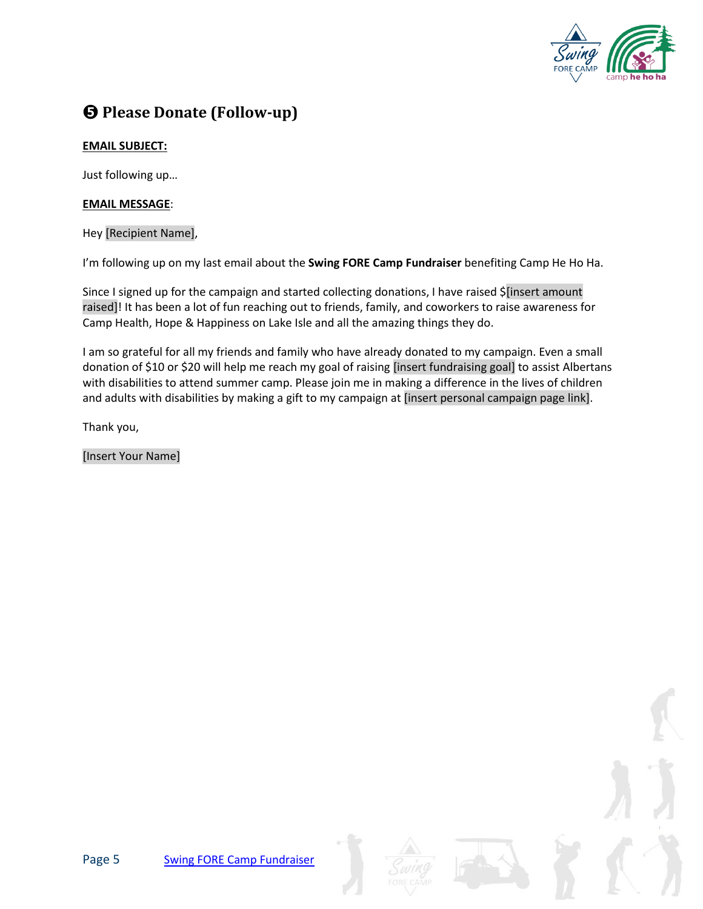

## **❺ Please Donate (Follow-up)**

## **EMAIL SUBJECT:**

Just following up…

### **EMAIL MESSAGE**:

Hey [Recipient Name],

I'm following up on my last email about the **Swing FORE Camp Fundraiser** benefiting Camp He Ho Ha.

Since I signed up for the campaign and started collecting donations, I have raised \$[insert amount raised]! It has been a lot of fun reaching out to friends, family, and coworkers to raise awareness for Camp Health, Hope & Happiness on Lake Isle and all the amazing things they do.

I am so grateful for all my friends and family who have already donated to my campaign. Even a small donation of \$10 or \$20 will help me reach my goal of raising [insert fundraising goal] to assist Albertans with disabilities to attend summer camp. Please join me in making a difference in the lives of children and adults with disabilities by making a gift to my campaign at [insert personal campaign page link].

Thank you,



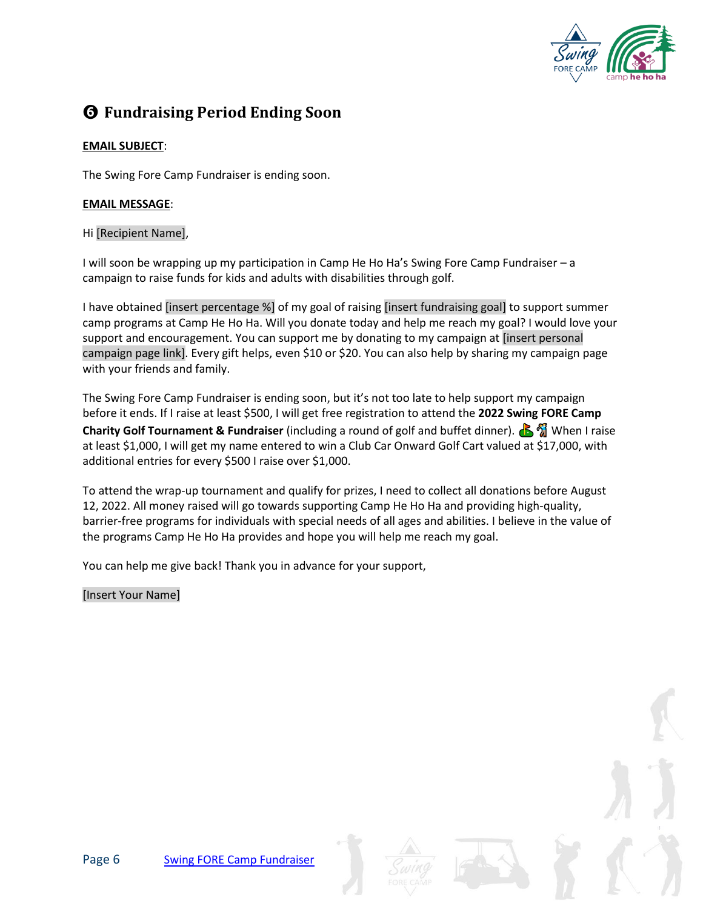

## **❻ Fundraising Period Ending Soon**

## **EMAIL SUBJECT**:

The Swing Fore Camp Fundraiser is ending soon.

#### **EMAIL MESSAGE**:

#### Hi [Recipient Name],

I will soon be wrapping up my participation in Camp He Ho Ha's Swing Fore Camp Fundraiser – a campaign to raise funds for kids and adults with disabilities through golf.

I have obtained [insert percentage %] of my goal of raising [insert fundraising goal] to support summer camp programs at Camp He Ho Ha. Will you donate today and help me reach my goal? I would love your support and encouragement. You can support me by donating to my campaign at [insert personal campaign page link]. Every gift helps, even \$10 or \$20. You can also help by sharing my campaign page with your friends and family.

The Swing Fore Camp Fundraiser is ending soon, but it's not too late to help support my campaign before it ends. If I raise at least \$500, I will get free registration to attend the **2022 Swing FORE Camp Charity Golf Tournament & Fundraiser** (including a round of golf and buffet dinner). **A** When I raise at least \$1,000, I will get my name entered to win a Club Car Onward Golf Cart valued at \$17,000, with additional entries for every \$500 I raise over \$1,000.

To attend the wrap-up tournament and qualify for prizes, I need to collect all donations before August 12, 2022. All money raised will go towards supporting Camp He Ho Ha and providing high-quality, barrier-free programs for individuals with special needs of all ages and abilities. I believe in the value of the programs Camp He Ho Ha provides and hope you will help me reach my goal.

You can help me give back! Thank you in advance for your support,